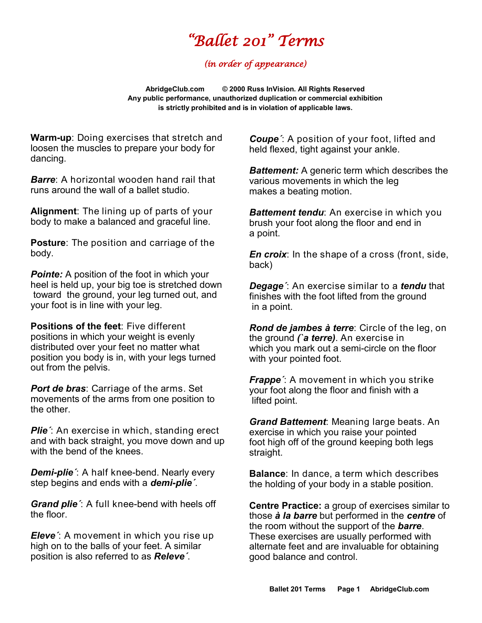## *"Ballet 201" Terms*

## *(in order of appearance)*

**AbridgeClub.com © 2000 Russ InVision. All Rights Reserved Any public performance, unauthorized duplication or commercial exhibition is strictly prohibited and is in violation of applicable laws.**

**Warm-up**: Doing exercises that stretch and loosen the muscles to prepare your body for dancing.

*Barre*: A horizontal wooden hand rail that runs around the wall of a ballet studio.

**Alignment**: The lining up of parts of your body to make a balanced and graceful line.

**Posture**: The position and carriage of the body.

**Pointe:** A position of the foot in which your heel is held up, your big toe is stretched down toward the ground, your leg turned out, and your foot is in line with your leg.

**Positions of the feet**: Five different positions in which your weight is evenly distributed over your feet no matter what position you body is in, with your legs turned out from the pelvis.

*Port de bras*: Carriage of the arms. Set movements of the arms from one position to the other.

*Plie´*: An exercise in which, standing erect and with back straight, you move down and up with the bend of the knees.

*Demi-plie´*: A half knee-bend. Nearly every step begins and ends with a *demi-plie´*.

*Grand plie´*: A full knee-bend with heels off the floor.

*Eleve´*: A movement in which you rise up high on to the balls of your feet. A similar position is also referred to as *Releve´*.

*Coupe´*: A position of your foot, lifted and held flexed, tight against your ankle.

*Battement:* A generic term which describes the various movements in which the leg makes a beating motion.

*Battement tendu*: An exercise in which you brush your foot along the floor and end in a point.

*En croix*: In the shape of a cross (front, side, back)

*Degage´*: An exercise similar to a *tendu* that finishes with the foot lifted from the ground in a point.

*Rond de jambes [à](http://www.google.com/url?sa=t&rct=j&q=&esrc=s&source=web&cd=1&ved=0CB4QFjAA&url=http%3A%2F%2Fwww.abt.org%2Feducation%2Fdictionary%2Fterms%2Frond_jambe_terre.html&ei=bK4XVeSkBtXpoAS7uoGABw&usg=AFQjCNHXn8glWrTjf3PpvcwGKatzcXxysg&bvm=bv.89381419,d.cGU) terre*: Circle of the leg, on the ground *(`a terre)*. An exercise in which you mark out a semi-circle on the floor with your pointed foot.

*Frappe´*: A movement in which you strike your foot along the floor and finish with a lifted point.

*Grand Battement*: Meaning large beats. An exercise in which you raise your pointed foot high off of the ground keeping both legs straight.

**Balance**: In dance, a term which describes the holding of your body in a stable position.

**Centre Practice:** a group of exercises similar to those *à la barre* but performed in the *centre* of the room without the support of the *barre*. These exercises are usually performed with alternate feet and are invaluable for obtaining good balance and control.